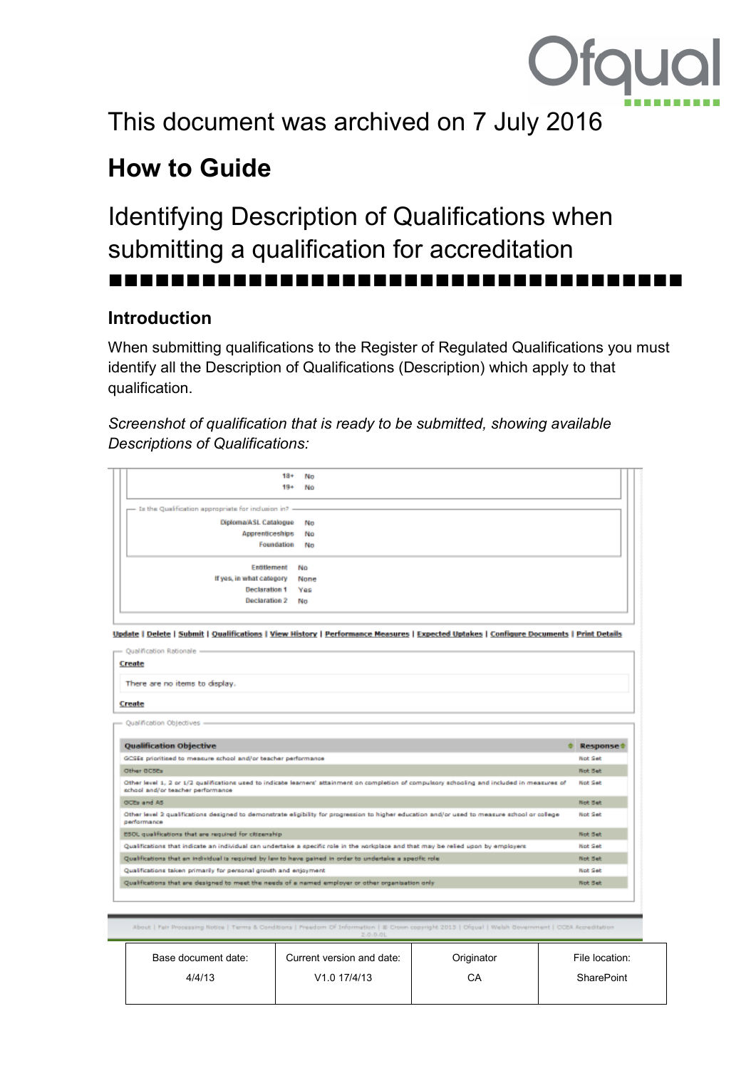

# This document was archived on 7 July 2016

## **How to Guide**

### Identifying Description of Qualifications when submitting a qualification for accreditation

### **Introduction**

When submitting qualifications to the Register of Regulated Qualifications you must identify all the Description of Qualifications (Description) which apply to that qualification.

#### *Screenshot of qualification that is ready to be submitted, showing available Descriptions of Qualifications:*

| 18+ No                                                 |  |
|--------------------------------------------------------|--|
| $19+$<br>NΩ                                            |  |
|                                                        |  |
| - In the Qualification appropriate for inclusion in? - |  |
| Diploma/ASL Catalogue<br>No                            |  |
| Apprenticeships No                                     |  |
| Foundation No                                          |  |
|                                                        |  |
| Entitlement No                                         |  |
| If yes, in what category None                          |  |
| <b>Declaration 1</b><br>Yes                            |  |
|                                                        |  |
| <b>Declaration 2</b><br>No                             |  |

Update | Delete | Submit | Qualifications | View History | Performance Measures | Expected Uptakes | Configure Documents | Print Details

| - Qualification Rationale -                                                                                                                                                         |                 |  |  |  |
|-------------------------------------------------------------------------------------------------------------------------------------------------------------------------------------|-----------------|--|--|--|
| Create                                                                                                                                                                              |                 |  |  |  |
| There are no items to display.                                                                                                                                                      |                 |  |  |  |
| Create                                                                                                                                                                              |                 |  |  |  |
| Qualification Objectives                                                                                                                                                            |                 |  |  |  |
| <b>Qualification Objective</b>                                                                                                                                                      | <b>Response</b> |  |  |  |
| GCSEs prioritised to measure school and/or teacher performance                                                                                                                      | <b>Not Set</b>  |  |  |  |
| Other OCSEs                                                                                                                                                                         | <b>Not Bet</b>  |  |  |  |
| Other level 1, 2 or 1/2 qualifications used to indicate learners' attainment on completion of compulsory schooling and included in measures of<br>school and/or teacher performance | <b>Not Set</b>  |  |  |  |
| GCEs and AS                                                                                                                                                                         | <b>Not Bet</b>  |  |  |  |
| Other level 2 qualifications designed to demonstrate eligibility for progression to higher education and/or used to measure school or college<br>performance                        | Not Set         |  |  |  |
| ESOL qualifications that are required for citizenship                                                                                                                               | <b>Not Bet</b>  |  |  |  |
| Qualifications that indicate an individual can undertake a specific role in the vorigolace and that may be relied upon by employers                                                 | <b>Not Set</b>  |  |  |  |
| Qualifications that an individual is required by law to have gained in order to undertake a specific role.                                                                          | <b>Not Bet</b>  |  |  |  |
| Qualifications taken primarily for personal growth and enjoyment                                                                                                                    | Not Set         |  |  |  |
| Qualifications that are designed to meet the needs of a named employer or other organisation only                                                                                   | <b>Not Bet</b>  |  |  |  |
|                                                                                                                                                                                     |                 |  |  |  |

| Base document date: | Current version and date: | Originator | File location:    |
|---------------------|---------------------------|------------|-------------------|
| 4/4/13              | V <sub>1.0</sub> 17/4/13  | CА         | <b>SharePoint</b> |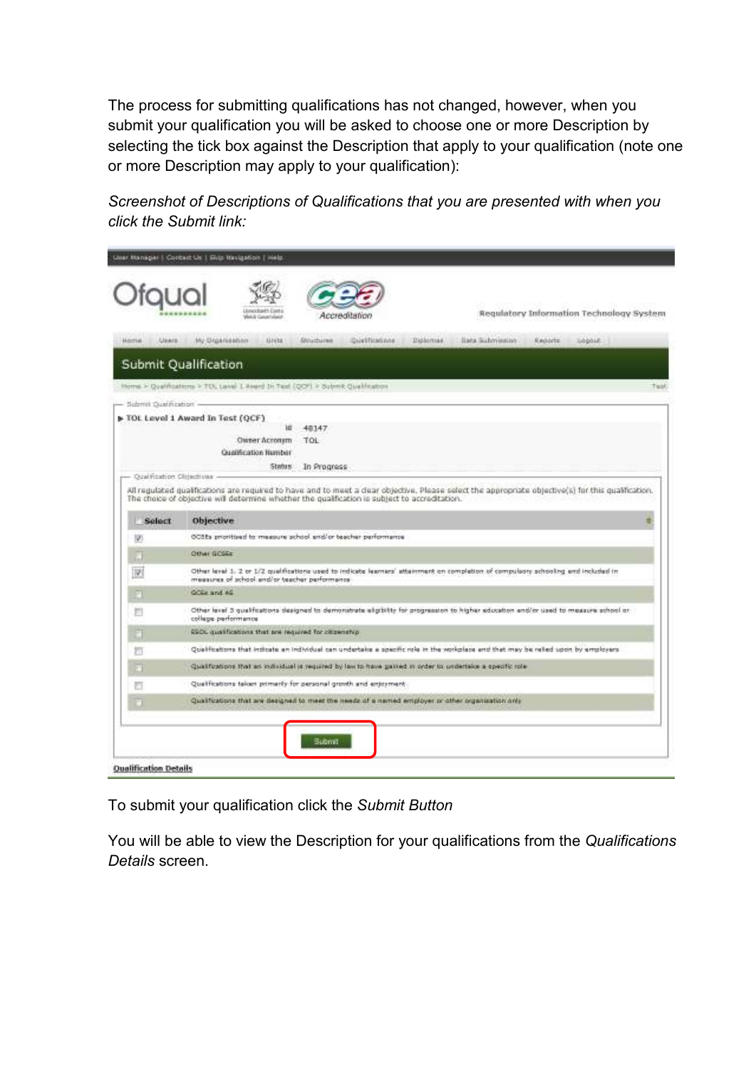The process for submitting qualifications has not changed, however, when you submit your qualification you will be asked to choose one or more Description by selecting the tick box against the Description that apply to your qualification (note one or more Description may apply to your qualification):

*Screenshot of Descriptions of Qualifications that you are presented with when you click the Submit link:* 

|                                | Regulatory Information Technology System<br>Accreatation                                                                                                                                                                                            |             |
|--------------------------------|-----------------------------------------------------------------------------------------------------------------------------------------------------------------------------------------------------------------------------------------------------|-------------|
| <b>HOSTING</b><br><b>JUMER</b> | My Drawnisson<br>Qualifications<br>Billomas.<br>liata Submission<br>Logist  <br><b>UNM</b><br><b>Structures</b><br>Redorfs:                                                                                                                         |             |
|                                | Submit Qualification                                                                                                                                                                                                                                |             |
|                                | Home > Qualifications > TOL Lave) 1 Award In Test (QOF) > Submit Qualification                                                                                                                                                                      | <b>Tapk</b> |
| $-$ Submit Qualification $-$   |                                                                                                                                                                                                                                                     |             |
|                                | > TOL Level 1 Award In Test (QCF)<br>и<br>48147<br><b>Owner Accompts</b><br>TOL<br>Qualification Humber                                                                                                                                             |             |
| - Qualmoston Olrischvas        | Status:<br>In Progress                                                                                                                                                                                                                              |             |
|                                | All regulated qualifications are required to have and to meet a dear objective. Please select the appropriate objective(s) for this qualification.<br>The choice of objective will determine whether the qualification is subject to accreditation. |             |
| <b>Select</b>                  | Objective                                                                                                                                                                                                                                           |             |
| 325                            | OCSEs prioritized to measure school end/or beacher performance.                                                                                                                                                                                     |             |
| ō                              | Other GOSSE                                                                                                                                                                                                                                         |             |
| 198                            | Other level 1. 2 or 1/2 qualifications used to indicate learners' attainment on completion of compulsors achooling and included in<br>measures of achool end/or teacher performance-                                                                |             |
|                                | GODS and AG                                                                                                                                                                                                                                         |             |
| 門                              | Other level 3 qualifications designed to demonstrate aligibility for progression to higher education end/or used to measure school or<br>college performance                                                                                        |             |
| Ш                              | \$500 qualifications that are required for citizenship                                                                                                                                                                                              |             |
|                                | Qualifications that indicate an individual can undertake a specific role in the workplace and that may be relied upon by employers                                                                                                                  |             |
| 罚                              | Qualifications that an individual is required by law to have gained in order to undertake a specific role.                                                                                                                                          |             |
|                                |                                                                                                                                                                                                                                                     |             |
| а                              | Qualifications taken primarily for personal growth and enjoyment.                                                                                                                                                                                   |             |

To submit your qualification click the *Submit Button*

You will be able to view the Description for your qualifications from the *Qualifications Details* screen.